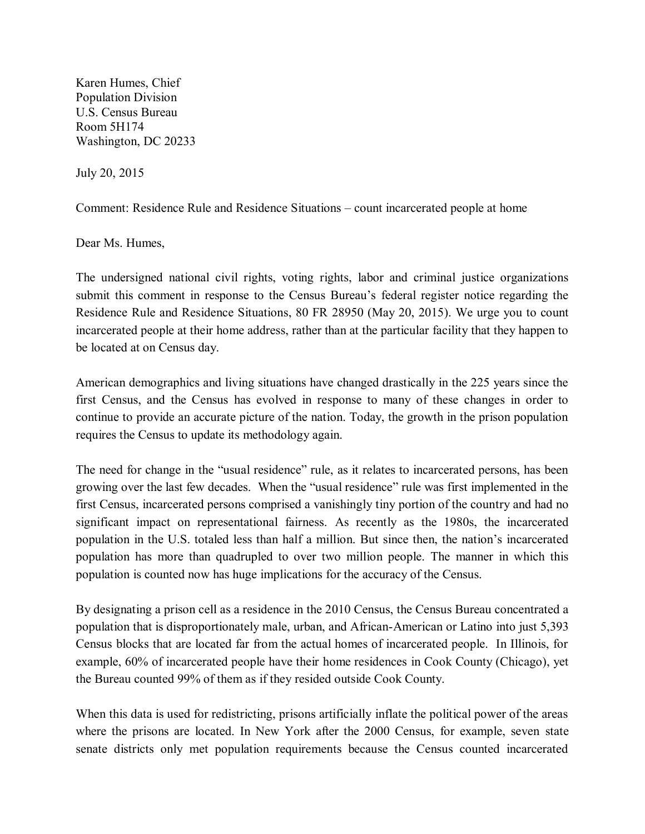Karen Humes, Chief Population Division U.S. Census Bureau Room 5H174 Washington, DC 20233

July 20, 2015

Comment: Residence Rule and Residence Situations – count incarcerated people at home

Dear Ms. Humes,

The undersigned national civil rights, voting rights, labor and criminal justice organizations submit this comment in response to the Census Bureau's federal register notice regarding the Residence Rule and Residence Situations, 80 FR 28950 (May 20, 2015). We urge you to count incarcerated people at their home address, rather than at the particular facility that they happen to be located at on Census day.

American demographics and living situations have changed drastically in the 225 years since the first Census, and the Census has evolved in response to many of these changes in order to continue to provide an accurate picture of the nation. Today, the growth in the prison population requires the Census to update its methodology again.

The need for change in the "usual residence" rule, as it relates to incarcerated persons, has been growing over the last few decades. When the "usual residence" rule was first implemented in the first Census, incarcerated persons comprised a vanishingly tiny portion of the country and had no significant impact on representational fairness. As recently as the 1980s, the incarcerated population in the U.S. totaled less than half a million. But since then, the nation's incarcerated population has more than quadrupled to over two million people. The manner in which this population is counted now has huge implications for the accuracy of the Census.

By designating a prison cell as a residence in the 2010 Census, the Census Bureau concentrated a population that is disproportionately male, urban, and African-American or Latino into just 5,393 Census blocks that are located far from the actual homes of incarcerated people. In Illinois, for example, 60% of incarcerated people have their home residences in Cook County (Chicago), yet the Bureau counted 99% of them as if they resided outside Cook County.

When this data is used for redistricting, prisons artificially inflate the political power of the areas where the prisons are located. In New York after the 2000 Census, for example, seven state senate districts only met population requirements because the Census counted incarcerated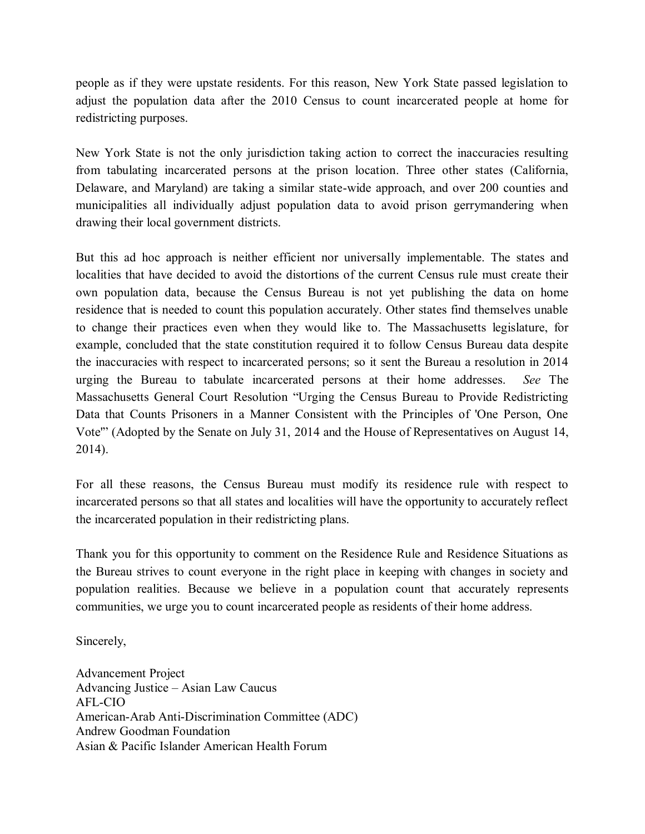people as if they were upstate residents. For this reason, New York State passed legislation to adjust the population data after the 2010 Census to count incarcerated people at home for redistricting purposes.

New York State is not the only jurisdiction taking action to correct the inaccuracies resulting from tabulating incarcerated persons at the prison location. Three other states (California, Delaware, and Maryland) are taking a similar state-wide approach, and over 200 counties and municipalities all individually adjust population data to avoid prison gerrymandering when drawing their local government districts.

But this ad hoc approach is neither efficient nor universally implementable. The states and localities that have decided to avoid the distortions of the current Census rule must create their own population data, because the Census Bureau is not yet publishing the data on home residence that is needed to count this population accurately. Other states find themselves unable to change their practices even when they would like to. The Massachusetts legislature, for example, concluded that the state constitution required it to follow Census Bureau data despite the inaccuracies with respect to incarcerated persons; so it sent the Bureau a resolution in 2014 urging the Bureau to tabulate incarcerated persons at their home addresses. *See* The Massachusetts General Court Resolution "Urging the Census Bureau to Provide Redistricting Data that Counts Prisoners in a Manner Consistent with the Principles of 'One Person, One Vote'" (Adopted by the Senate on July 31, 2014 and the House of Representatives on August 14, 2014).

For all these reasons, the Census Bureau must modify its residence rule with respect to incarcerated persons so that all states and localities will have the opportunity to accurately reflect the incarcerated population in their redistricting plans.

Thank you for this opportunity to comment on the Residence Rule and Residence Situations as the Bureau strives to count everyone in the right place in keeping with changes in society and population realities. Because we believe in a population count that accurately represents communities, we urge you to count incarcerated people as residents of their home address.

Sincerely,

Advancement Project Advancing Justice – Asian Law Caucus AFL-CIO American-Arab Anti-Discrimination Committee (ADC) Andrew Goodman Foundation Asian & Pacific Islander American Health Forum